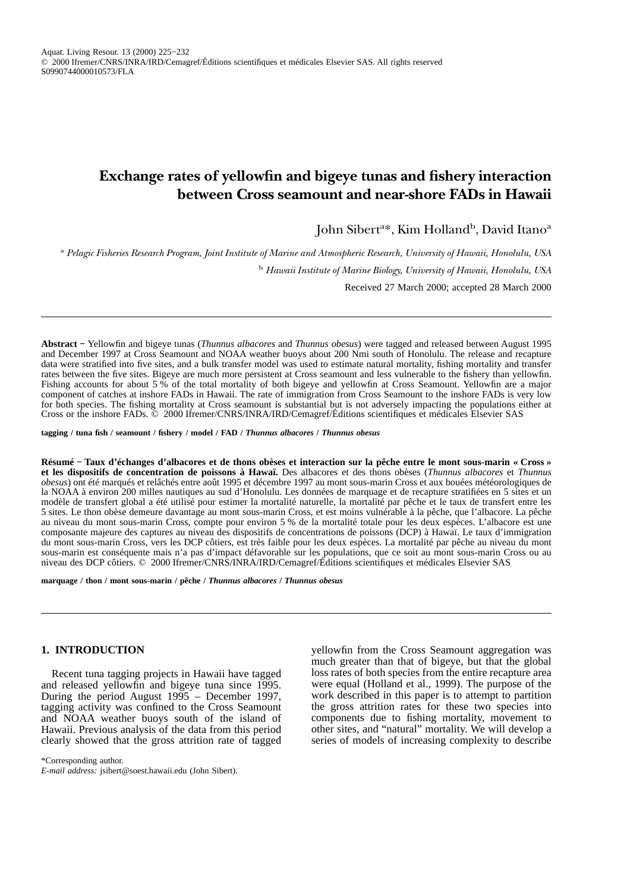# **Exchange rates of yellowfin and bigeye tunas and fishery interaction between Cross seamount and near-shore FADs in Hawaii**

John Sibert<sup>a</sup>\*, Kim Holland<sup>b</sup>, David Itano<sup>a</sup>

<sup>a</sup> *Pelagic Fisheries Research Program, Joint Institute of Marine and Atmospheric Research, University of Hawaii, Honolulu, USA* <sup>b</sup> *Hawaii Institute of Marine Biology, University of Hawaii, Honolulu, USA*

Received 27 March 2000; accepted 28 March 2000

**Abstract −** Yellowfin and bigeye tunas (*Thunnus albacores* and *Thunnus obesus*) were tagged and released between August 1995 and December 1997 at Cross Seamount and NOAA weather buoys about 200 Nmi south of Honolulu. The release and recapture data were stratified into five sites, and a bulk transfer model was used to estimate natural mortality, fishing mortality and transfer rates between the five sites. Bigeye are much more persistent at Cross seamount and less vulnerable to the fishery than yellowfin. Fishing accounts for about 5 % of the total mortality of both bigeye and yellowfin at Cross Seamount. Yellowfin are a major component of catches at inshore FADs in Hawaii. The rate of immigration from Cross Seamount to the inshore FADs is very low for both species. The fishing mortality at Cross seamount is substantial but is not adversely impacting the populations either at Cross or the inshore FADs. © 2000 Ifremer/CNRS/INRA/IRD/Cemagref/Éditions scientifiques et médicales Elsevier SAS

**tagging / tuna fish / seamount / fishery / model / FAD /** *Thunnus albacores* **/** *Thunnus obesus*

**Résumé − Taux d'échanges d'albacores et de thons obèses et interaction sur la pêche entre le mont sous-marin « Cross » et les dispositifs de concentration de poissons à Hawaï.** Des albacores et des thons obèses (*Thunnus albacores* et *Thunnus obesus*) ont été marqués et relâchés entre août 1995 et décembre 1997 au mont sous-marin Cross et aux bouées météorologiques de la NOAA à environ 200 milles nautiques au sud d'Honolulu. Les données de marquage et de recapture stratifiées en 5 sites et un modèle de transfert global a été utilisé pour estimer la mortalité naturelle, la mortalité par pêche et le taux de transfert entre les 5 sites. Le thon obèse demeure davantage au mont sous-marin Cross, et est moins vulnérable à la pêche, que l'albacore. La pêche au niveau du mont sous-marin Cross, compte pour environ 5 % de la mortalité totale pour les deux espèces. L'albacore est une composante majeure des captures au niveau des dispositifs de concentrations de poissons (DCP) à Hawaï. Le taux d'immigration du mont sous-marin Cross, vers les DCP côtiers, est très faible pour les deux espèces. La mortalité par pêche au niveau du mont sous-marin est conséquente mais n'a pas d'impact défavorable sur les populations, que ce soit au mont sous-marin Cross ou au niveau des DCP côtiers. © 2000 Ifremer/CNRS/INRA/IRD/Cemagref/Éditions scientifiques et médicales Elsevier SAS

**marquage / thon / mont sous-marin / pêche /** *Thunnus albacores* **/** *Thunnus obesus*

## **1. INTRODUCTION**

Recent tuna tagging projects in Hawaii have tagged and released yellowfin and bigeye tuna since 1995. During the period August 1995 – December 1997, tagging activity was confined to the Cross Seamount and NOAA weather buoys south of the island of Hawaii. Previous analysis of the data from this period clearly showed that the gross attrition rate of tagged yellowfin from the Cross Seamount aggregation was much greater than that of bigeye, but that the global loss rates of both species from the entire recapture area were equal (Holland et al., 1999). The purpose of the work described in this paper is to attempt to partition the gross attrition rates for these two species into components due to fishing mortality, movement to other sites, and "natural" mortality. We will develop a series of models of increasing complexity to describe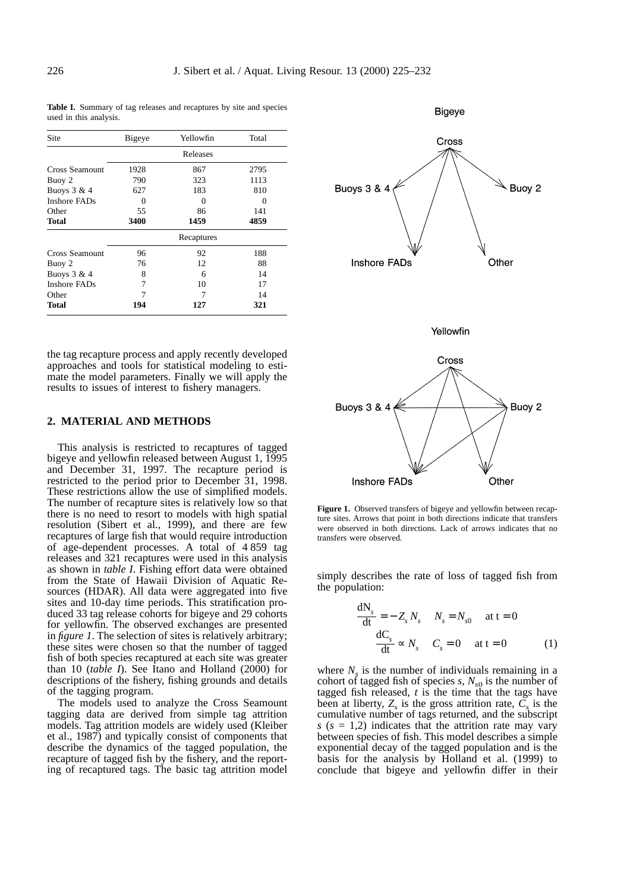**Table I.** Summary of tag releases and recaptures by site and species used in this analysis.

| Site           | Bigeye            | Yellowfin  | Total             |  |  |
|----------------|-------------------|------------|-------------------|--|--|
|                | Releases          |            |                   |  |  |
| Cross Seamount | 1928              | 867        | 2795              |  |  |
| Buoy 2         | 790               | 323<br>183 | 1113<br>810       |  |  |
| Buoys $3 & 4$  | 627               |            |                   |  |  |
| Inshore FADs   | $\mathbf{\Omega}$ | $\Omega$   | $\mathbf{\Omega}$ |  |  |
| Other          | 55                | 86         | 141               |  |  |
| Total          | 3400              | 1459       | 4859              |  |  |
|                | Recaptures        |            |                   |  |  |
| Cross Seamount | 96                | 92         | 188               |  |  |
| Buoy 2         | 76                | 12         | 88                |  |  |
| Buoys $3 & 4$  | 8                 | 6          | 14                |  |  |
| Inshore FADs   | 7                 | 10         | 17                |  |  |
| Other          |                   | 7          | 14                |  |  |
| Total          | 194               | 127        | 321               |  |  |

the tag recapture process and apply recently developed approaches and tools for statistical modeling to estimate the model parameters. Finally we will apply the results to issues of interest to fishery managers.

### **2. MATERIAL AND METHODS**

This analysis is restricted to recaptures of tagged bigeye and yellowfin released between August 1, 1995 and December 31, 1997. The recapture period is restricted to the period prior to December 31, 1998. These restrictions allow the use of simplified models. The number of recapture sites is relatively low so that there is no need to resort to models with high spatial resolution (Sibert et al., 1999), and there are few recaptures of large fish that would require introduction of age-dependent processes. A total of 4 859 tag releases and 321 recaptures were used in this analysis as shown in *table I*. Fishing effort data were obtained from the State of Hawaii Division of Aquatic Resources (HDAR). All data were aggregated into five sites and 10-day time periods. This stratification produced 33 tag release cohorts for bigeye and 29 cohorts for yellowfin. The observed exchanges are presented in *figure 1*. The selection of sites is relatively arbitrary; these sites were chosen so that the number of tagged fish of both species recaptured at each site was greater than 10 (*table I*). See Itano and Holland (2000) for descriptions of the fishery, fishing grounds and details of the tagging program.

The models used to analyze the Cross Seamount tagging data are derived from simple tag attrition models. Tag attrition models are widely used (Kleiber et al., 1987) and typically consist of components that describe the dynamics of the tagged population, the recapture of tagged fish by the fishery, and the reporting of recaptured tags. The basic tag attrition model



**Figure 1.** Observed transfers of bigeye and yellowfin between recapture sites. Arrows that point in both directions indicate that transfers were observed in both directions. Lack of arrows indicates that no transfers were observed.

simply describes the rate of loss of tagged fish from the population:

$$
\frac{dN_s}{dt} = -Z_s N_s \t N_s = N_{s0} \t at t = 0
$$
  

$$
\frac{dC_s}{dt} \propto N_s \t C_s = 0 \t at t = 0
$$
 (1)

where  $N<sub>s</sub>$  is the number of individuals remaining in a cohort of tagged fish of species  $s$ ,  $N_{s0}$  is the number of tagged fish released, *t* is the time that the tags have been at liberty,  $Z_s$  is the gross attrition rate,  $C_s$  is the cumulative number of tags returned, and the subscript  $s$  ( $s = 1,2$ ) indicates that the attrition rate may vary between species of fish. This model describes a simple exponential decay of the tagged population and is the basis for the analysis by Holland et al. (1999) to conclude that bigeye and yellowfin differ in their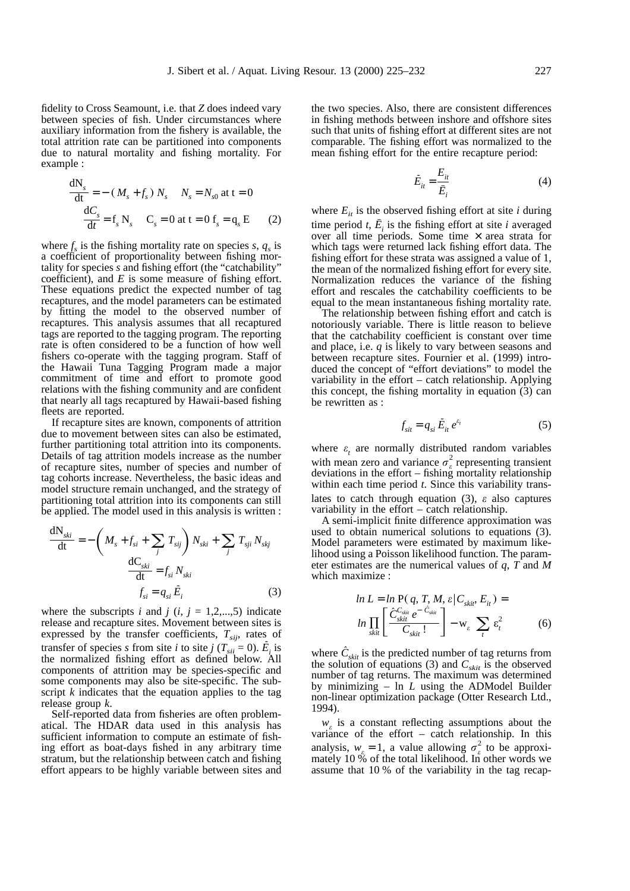fidelity to Cross Seamount, i.e. that *Z* does indeed vary between species of fish. Under circumstances where auxiliary information from the fishery is available, the total attrition rate can be partitioned into components due to natural mortality and fishing mortality. For example :

$$
\frac{dN_s}{dt} = - (M_s + f_s) N_s \qquad N_s = N_{s0} \text{ at } t = 0
$$
  

$$
\frac{dC_s}{dt} = f_s N_s \qquad C_s = 0 \text{ at } t = 0 \text{ } f_s = q_s \text{ } E \qquad (2)
$$

where  $f_s$  is the fishing mortality rate on species  $s, q_s$  is a coefficient of proportionality between fishing mortality for species *s* and fishing effort (the "catchability" coefficient), and *E* is some measure of fishing effort. These equations predict the expected number of tag recaptures, and the model parameters can be estimated by fitting the model to the observed number of recaptures. This analysis assumes that all recaptured tags are reported to the tagging program. The reporting rate is often considered to be a function of how well fishers co-operate with the tagging program. Staff of the Hawaii Tuna Tagging Program made a major commitment of time and effort to promote good relations with the fishing community and are confident that nearly all tags recaptured by Hawaii-based fishing fleets are reported.

If recapture sites are known, components of attrition due to movement between sites can also be estimated, further partitioning total attrition into its components. Details of tag attrition models increase as the number of recapture sites, number of species and number of tag cohorts increase. Nevertheless, the basic ideas and model structure remain unchanged, and the strategy of partitioning total attrition into its components can still be applied. The model used in this analysis is written :

$$
\frac{dN_{ski}}{dt} = -\left(M_s + f_{si} + \sum_j T_{sij}\right)N_{ski} + \sum_j T_{sji}N_{skj}
$$

$$
\frac{dC_{ski}}{dt} = f_{si}N_{ski}
$$

$$
f_{si} = q_{si}\tilde{E}_i
$$
(3)

where the subscripts *i* and  $j$  ( $i$ ,  $j = 1,2,...,5$ ) indicate release and recapture sites. Movement between sites is expressed by the transfer coefficients,  $T_{sij}$ , rates of transfer of species *s* from site *i* to site *j* ( $T_{sii} = 0$ ).  $\hat{E}_i$  is the normalized fishing effort as defined below. All components of attrition may be species-specific and some components may also be site-specific. The subscript *k* indicates that the equation applies to the tag release group *k*.

Self-reported data from fisheries are often problematical. The HDAR data used in this analysis has sufficient information to compute an estimate of fishing effort as boat-days fished in any arbitrary time stratum, but the relationship between catch and fishing effort appears to be highly variable between sites and the two species. Also, there are consistent differences in fishing methods between inshore and offshore sites such that units of fishing effort at different sites are not comparable. The fishing effort was normalized to the mean fishing effort for the entire recapture period:

$$
\tilde{E}_{it} = \frac{E_{it}}{\bar{E}_i} \tag{4}
$$

where  $E_{it}$  is the observed fishing effort at site *i* during time period *t*,  $\bar{E}_i$  is the fishing effort at site *i* averaged over all time periods. Some time  $\times$  area strata for which tags were returned lack fishing effort data. The fishing effort for these strata was assigned a value of 1, the mean of the normalized fishing effort for every site. Normalization reduces the variance of the fishing effort and rescales the catchability coefficients to be equal to the mean instantaneous fishing mortality rate.

The relationship between fishing effort and catch is notoriously variable. There is little reason to believe that the catchability coefficient is constant over time and place, i.e. *q* is likely to vary between seasons and between recapture sites. Fournier et al. (1999) introduced the concept of "effort deviations" to model the variability in the effort – catch relationship. Applying this concept, the fishing mortality in equation (3) can be rewritten as :

$$
f_{sit} = q_{si} \tilde{E}_{it} e^{\varepsilon_t} \tag{5}
$$

where  $\varepsilon$ <sub>t</sub> are normally distributed random variables with mean zero and variance  $\sigma_{\varepsilon}^2$  representing transient deviations in the effort – fishing mortality relationship within each time period *t*. Since this variability translates to catch through equation (3), *e* also captures variability in the effort – catch relationship.

A semi-implicit finite difference approximation was used to obtain numerical solutions to equations (3). Model parameters were estimated by maximum likelihood using a Poisson likelihood function. The parameter estimates are the numerical values of *q*, *T* and *M* which maximize :

$$
ln L = ln P(q, T, M, \varepsilon | C_{\text{skin}}, E_{\text{it}}) =
$$
  

$$
ln \prod_{\text{skin}} \left[ \frac{\hat{C}_{\text{skin}}^{C_{\text{skin}} - \hat{C}_{\text{skin}}}}{C_{\text{skin}}!} \right] - w_{\varepsilon} \sum_{t} \varepsilon_{t}^{2}
$$
 (6)

where  $C_{\text{skit}}$  is the predicted number of tag returns from the solution of equations (3) and  $C_{\text{skit}}$  is the observed number of tag returns. The maximum was determined by minimizing – ln *L* using the ADModel Builder non-linear optimization package (Otter Research Ltd., 1994).

 $w_e$  is a constant reflecting assumptions about the variance of the effort – catch relationship. In this analysis,  $w_e = 1$ , a value allowing  $\sigma_e^2$  to be approximately 10 % of the total likelihood. In other words we assume that 10 % of the variability in the tag recap-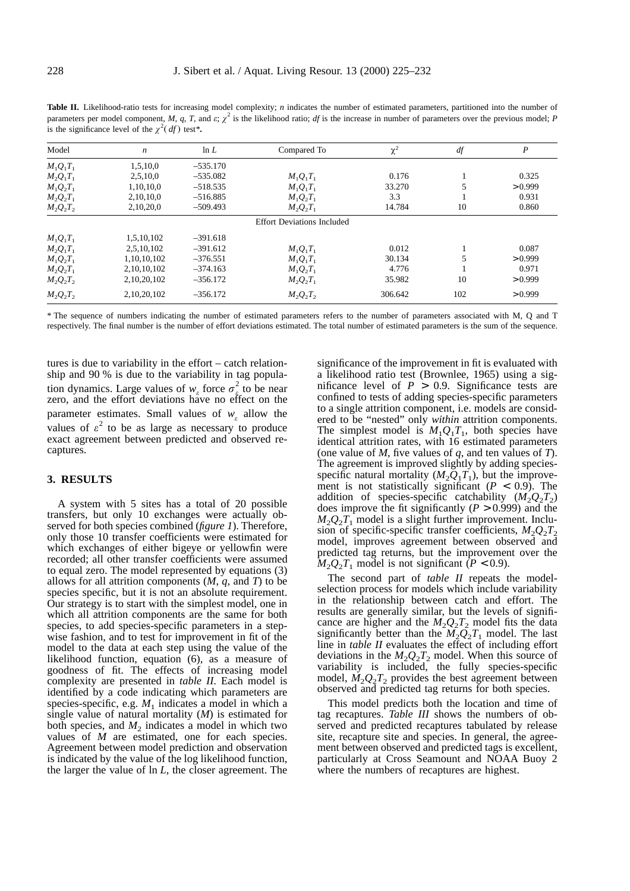**Table II.** Likelihood-ratio tests for increasing model complexity; *n* indicates the number of estimated parameters, partitioned into the number of parameters per model component, *M*, *q*, *T*, and *e*;  $\chi^2$  is the likelihood ratio; *df* is the increase in number of parameters over the previous model; *P* is the significance level of the  $\chi^2(df)$  test\*.

| Model             | $\boldsymbol{n}$ | ln L       | Compared To                       | $\chi^2$ | $d\!f$ | $\boldsymbol{P}$ |
|-------------------|------------------|------------|-----------------------------------|----------|--------|------------------|
| $M_1Q_1T_1$       | 1,5,10,0         | $-535.170$ |                                   |          |        |                  |
| $M_2Q_1T_1$       | 2,5,10,0         | $-535.082$ | $M_1Q_1T_1$                       | 0.176    |        | 0.325            |
| $M_1Q_2T_1$       | 1,10,10,0        | $-518.535$ | $M_1Q_1T_1$                       | 33.270   |        | > 0.999          |
| $M_2Q_2T_1$       | 2,10,10,0        | $-516.885$ | $M_1Q_2T_1$                       | 3.3      |        | 0.931            |
| $M_{2}Q_{2}T_{2}$ | 2,10,20,0        | $-509.493$ | $M_2Q_2T_1$                       | 14.784   | 10     | 0.860            |
|                   |                  |            | <b>Effort Deviations Included</b> |          |        |                  |
| $M_1Q_1T_1$       | 1,5,10,102       | $-391.618$ |                                   |          |        |                  |
| $M_2Q_1T_1$       | 2,5,10,102       | $-391.612$ | $M_1Q_1T_1$                       | 0.012    |        | 0.087            |
| $M_1Q_2T_1$       | 1,10,10,102      | $-376.551$ | $M_1Q_1T_1$                       | 30.134   |        | > 0.999          |
| $M_2Q_2T_1$       | 2,10,10,102      | $-374.163$ | $M_1Q_2T_1$                       | 4.776    |        | 0.971            |
| $M_{2}Q_{2}T_{2}$ | 2,10,20,102      | $-356.172$ | $M_2Q_2T_1$                       | 35.982   | 10     | > 0.999          |
| $M_2Q_2T_2$       | 2,10,20,102      | $-356.172$ | $M_2Q_2T_2$                       | 306.642  | 102    | > 0.999          |

\* The sequence of numbers indicating the number of estimated parameters refers to the number of parameters associated with M, Q and T respectively. The final number is the number of effort deviations estimated. The total number of estimated parameters is the sum of the sequence.

tures is due to variability in the effort – catch relationship and 90 % is due to the variability in tag population dynamics. Large values of  $w_e$  force  $\sigma_{\epsilon}^2$  to be near zero, and the effort deviations have no effect on the parameter estimates. Small values of  $w_e$  allow the values of  $\varepsilon^2$  to be as large as necessary to produce exact agreement between predicted and observed recaptures.

#### **3. RESULTS**

A system with 5 sites has a total of 20 possible transfers, but only 10 exchanges were actually observed for both species combined (*figure 1*). Therefore, only those 10 transfer coefficients were estimated for which exchanges of either bigeye or yellowfin were recorded; all other transfer coefficients were assumed to equal zero. The model represented by equations (3) allows for all attrition components (*M*, *q*, and *T*) to be species specific, but it is not an absolute requirement. Our strategy is to start with the simplest model, one in which all attrition components are the same for both species, to add species-specific parameters in a stepwise fashion, and to test for improvement in fit of the model to the data at each step using the value of the likelihood function, equation (6), as a measure of goodness of fit. The effects of increasing model complexity are presented in *table II*. Each model is identified by a code indicating which parameters are species-specific, e.g.  $M_1$  indicates a model in which a single value of natural mortality (*M*) is estimated for both species, and  $M_2$  indicates a model in which two values of *M* are estimated, one for each species. Agreement between model prediction and observation is indicated by the value of the log likelihood function, the larger the value of ln *L*, the closer agreement. The

significance of the improvement in fit is evaluated with a likelihood ratio test (Brownlee, 1965) using a significance level of  $P > 0.9$ . Significance tests are confined to tests of adding species-specific parameters to a single attrition component, i.e. models are considered to be "nested" only *within* attrition components. The simplest model is  $M_1Q_1T_1$ , both species have identical attrition rates, with 16 estimated parameters (one value of *M*, five values of *q*, and ten values of *T*). The agreement is improved slightly by adding speciesspecific natural mortality  $(M_2Q_1T_1)$ , but the improvement is not statistically significant  $(P < 0.9)$ . The addition of species-specific catchability  $(M_2Q_2T_2)$ does improve the fit significantly  $(P > 0.999)$  and the  $M_2Q_2T_1$  model is a slight further improvement. Inclusion of specific-specific transfer coefficients,  $M_2Q_2T_2$ model, improves agreement between observed and predicted tag returns, but the improvement over the  $M_2Q_2T_1$  model is not significant (*P* < 0.9).

The second part of *table II* repeats the modelselection process for models which include variability in the relationship between catch and effort. The results are generally similar, but the levels of significance are higher and the  $M_2Q_2T_2$  model fits the data significantly better than the  $M_2Q_2T_1$  model. The last line in *table II* evaluates the effect of including effort deviations in the  $M_2Q_2T_2$  model. When this source of variability is included, the fully species-specific model,  $M_2Q_2T_2$  provides the best agreement between observed and predicted tag returns for both species.

This model predicts both the location and time of tag recaptures. *Table III* shows the numbers of observed and predicted recaptures tabulated by release site, recapture site and species. In general, the agreement between observed and predicted tags is excellent, particularly at Cross Seamount and NOAA Buoy 2 where the numbers of recaptures are highest.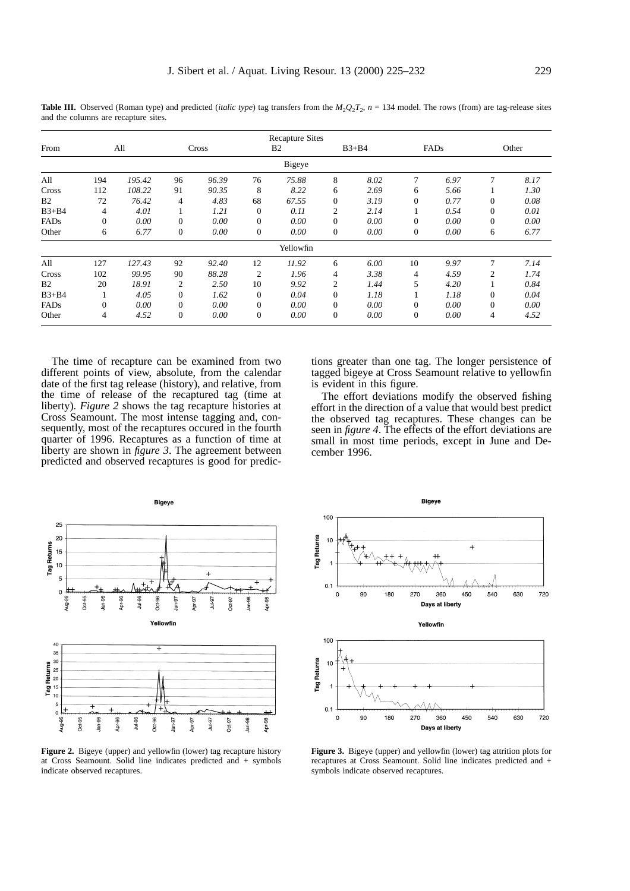Recapture Sites From All Cross B2 B3+B4 FADs Other Bigeye All 194 *195.42* 96 *96.39* 76 *75.88* 8 *8.02* 7 *6.97* 7 *8.17* Cross 112 *108.22* 91 *90.35* 8 *8.22* 6 *2.69* 6 *5.66* 1 *1.30* B2 72 *76.42* 4 *4.83* 68 *67.55* 0 *3.19* 0 *0.77* 0 *0.08* B3+B4 4 *4.01* 1 *1.21* 0 *0.11* 2 *2.14* 1 *0.54* 0 *0.01* FADs 0 *0.00* 0 *0.00* 0 *0.00* 0 *0.00* 0 *0.00* 0 *0.00* Other 6 *6.77* 0 *0.00* 0 *0.00* 0 *0.00* 0 *0.00* 6 *6.77* Yellowfin All 127 *127.43* 92 *92.40* 12 *11.92* 6 *6.00* 10 *9.97* 7 *7.14* Cross 102 *99.95* 90 *88.28* 2 *1.96* 4 *3.38* 4 *4.59* 2 *1.74* B2 20 *18.91* 2 *2.50* 10 *9.92* 2 *1.44* 5 *4.20* 1 *0.84* B3+B4 1 *4.05* 0 *1.62* 0 *0.04* 0 *1.18* 1 *1.18* 0 *0.04* FADs 0 *0.00* 0 *0.00* 0 *0.00* 0 *0.00* 0 *0.00* 0 *0.00* Other 4 *4.52* 0 *0.00* 0 *0.00* 0 *0.00* 0 *0.00* 4 *4.52*

**Table III.** Observed (Roman type) and predicted (*italic type*) tag transfers from the  $M_2Q_2T_2$ ,  $n = 134$  model. The rows (from) are tag-release sites and the columns are recapture sites.

The time of recapture can be examined from two different points of view, absolute, from the calendar date of the first tag release (history), and relative, from the time of release of the recaptured tag (time at liberty). *Figure 2* shows the tag recapture histories at Cross Seamount. The most intense tagging and, consequently, most of the recaptures occured in the fourth quarter of 1996. Recaptures as a function of time at liberty are shown in *figure 3*. The agreement between predicted and observed recaptures is good for predictions greater than one tag. The longer persistence of tagged bigeye at Cross Seamount relative to yellowfin is evident in this figure.

The effort deviations modify the observed fishing effort in the direction of a value that would best predict the observed tag recaptures. These changes can be seen in *figure 4*. The effects of the effort deviations are small in most time periods, except in June and December 1996.



**Figure 2.** Bigeye (upper) and yellowfin (lower) tag recapture history at Cross Seamount. Solid line indicates predicted and + symbols indicate observed recaptures.



**Figure 3.** Bigeye (upper) and yellowfin (lower) tag attrition plots for recaptures at Cross Seamount. Solid line indicates predicted and + symbols indicate observed recaptures.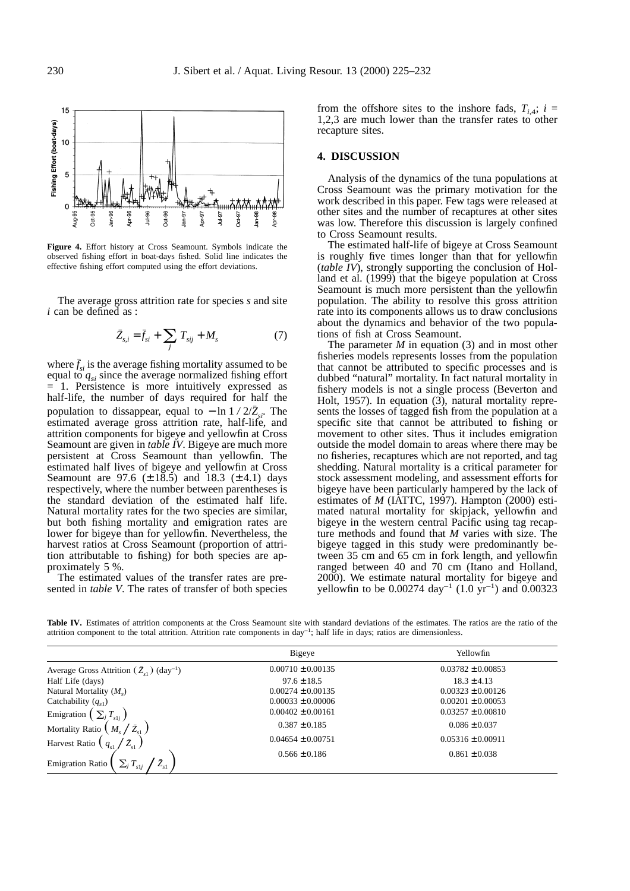

**Figure 4.** Effort history at Cross Seamount. Symbols indicate the observed fishing effort in boat-days fished. Solid line indicates the effective fishing effort computed using the effort deviations.

The average gross attrition rate for species *s* and site *i* can be defined as :

$$
\bar{Z}_{s,i} = \bar{f}_{si} + \sum_{j} T_{sij} + M_s \tag{7}
$$

where  $\bar{f}_{si}$  is the average fishing mortality assumed to be equal to  $q_{si}$  since the average normalized fishing effort = 1. Persistence is more intuitively expressed as half-life, the number of days required for half the population to dissappear, equal to − ln 1 / 2/ $\overline{Z}_{s}$ . The estimated average gross attrition rate, half-life, and attrition components for bigeye and yellowfin at Cross Seamount are given in *table IV*. Bigeye are much more persistent at Cross Seamount than yellowfin. The estimated half lives of bigeye and yellowfin at Cross Seamount are 97.6 ( $\pm$  18.5) and 18.3 ( $\pm$  4.1) days respectively, where the number between parentheses is the standard deviation of the estimated half life. Natural mortality rates for the two species are similar, but both fishing mortality and emigration rates are lower for bigeye than for yellowfin. Nevertheless, the harvest ratios at Cross Seamount (proportion of attrition attributable to fishing) for both species are approximately 5 %.

The estimated values of the transfer rates are presented in *table V*. The rates of transfer of both species from the offshore sites to the inshore fads,  $T_{i,4}$ ;  $i =$ 1,2,3 are much lower than the transfer rates to other recapture sites.

#### **4. DISCUSSION**

Analysis of the dynamics of the tuna populations at Cross Seamount was the primary motivation for the work described in this paper. Few tags were released at other sites and the number of recaptures at other sites was low. Therefore this discussion is largely confined to Cross Seamount results.

The estimated half-life of bigeye at Cross Seamount is roughly five times longer than that for yellowfin (*table IV*), strongly supporting the conclusion of Holland et al. (1999) that the bigeye population at Cross Seamount is much more persistent than the yellowfin population. The ability to resolve this gross attrition rate into its components allows us to draw conclusions about the dynamics and behavior of the two populations of fish at Cross Seamount.

The parameter *M* in equation (3) and in most other fisheries models represents losses from the population that cannot be attributed to specific processes and is dubbed "natural" mortality. In fact natural mortality in fishery models is not a single process (Beverton and Holt, 1957). In equation (3), natural mortality represents the losses of tagged fish from the population at a specific site that cannot be attributed to fishing or movement to other sites. Thus it includes emigration outside the model domain to areas where there may be no fisheries, recaptures which are not reported, and tag shedding. Natural mortality is a critical parameter for stock assessment modeling, and assessment efforts for bigeye have been particularly hampered by the lack of estimates of *M* (IATTC, 1997). Hampton (2000) estimated natural mortality for skipjack, yellowfin and bigeye in the western central Pacific using tag recapture methods and found that *M* varies with size. The bigeye tagged in this study were predominantly between 35 cm and 65 cm in fork length, and yellowfin ranged between 40 and 70 cm (Itano and Holland, 2000). We estimate natural mortality for bigeye and yellowfin to be 0.00274 day<sup>-1</sup> (1.0 yr<sup>-1</sup>) and 0.00323

Table IV. Estimates of attrition components at the Cross Seamount site with standard deviations of the estimates. The ratios are the ratio of the attrition component to the total attrition. Attrition rate components in day<sup>-1</sup>; half life in days; ratios are dimensionless.

|                                                                                     | Bigeye                | Yellowfin             |  |
|-------------------------------------------------------------------------------------|-----------------------|-----------------------|--|
| Average Gross Attrition $(\bar{Z}_{s1})$ (day <sup>-1</sup> )                       | $0.00710 \pm 0.00135$ | $0.03782 \pm 0.00853$ |  |
| Half Life (days)                                                                    | $97.6 \pm 18.5$       | $18.3 \pm 4.13$       |  |
| Natural Mortality $(Ms)$                                                            | $0.00274 \pm 0.00135$ | $0.00323 \pm 0.00126$ |  |
| Catchability $(q_{s1})$                                                             | $0.00033 \pm 0.00006$ | $0.00201 \pm 0.00053$ |  |
| Emigration                                                                          | $0.00402 \pm 0.00161$ | $0.03257 \pm 0.00810$ |  |
| $M_{\scriptscriptstyle\circ}/\bar{Z}_{\scriptscriptstyle\circ1}$<br>Mortality Ratio | $0.387 \pm 0.185$     | $0.086 \pm 0.037$     |  |
| Harvest Ratio (                                                                     | $0.04654 \pm 0.00751$ | $0.05316 \pm 0.00911$ |  |
| $\sum_i T_s$<br><b>Emigration Ratio</b><br>$\cdot$ s1i                              | $0.566 \pm 0.186$     | $0.861 \pm 0.038$     |  |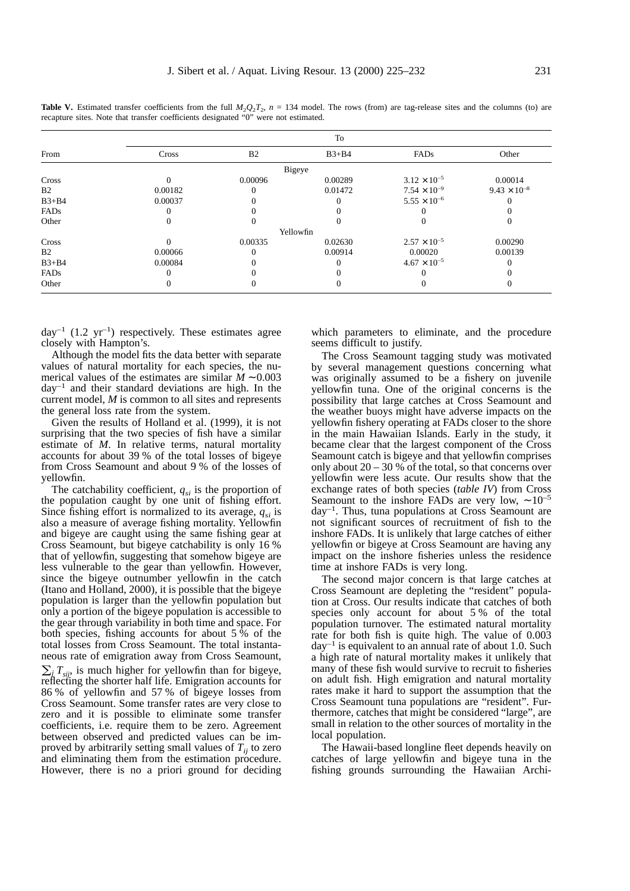**Table V.** Estimated transfer coefficients from the full  $M_2Q_2T_2$ ,  $n = 134$  model. The rows (from) are tag-release sites and the columns (to) are recapture sites. Note that transfer coefficients designated "0" were not estimated.

|                | To           |                |           |                       |                       |
|----------------|--------------|----------------|-----------|-----------------------|-----------------------|
| From           | Cross        | B <sub>2</sub> | $B3+B4$   | FADs                  | Other                 |
|                |              |                | Bigeye    |                       |                       |
| Cross          | $\Omega$     | 0.00096        | 0.00289   | $3.12 \times 10^{-5}$ | 0.00014               |
| B <sub>2</sub> | 0.00182      |                | 0.01472   | $7.54 \times 10^{-9}$ | $9.43 \times 10^{-8}$ |
| $B3+B4$        | 0.00037      |                |           | $5.55 \times 10^{-6}$ |                       |
| FADs           |              |                |           |                       |                       |
| Other          | $\theta$     |                |           |                       | $\theta$              |
|                |              |                | Yellowfin |                       |                       |
| Cross          | $\Omega$     | 0.00335        | 0.02630   | $2.57 \times 10^{-5}$ | 0.00290               |
| B <sub>2</sub> | 0.00066      |                | 0.00914   | 0.00020               | 0.00139               |
| $B3+B4$        | 0.00084      |                |           | $4.67 \times 10^{-5}$ | $\Omega$              |
| FADs           | $\Omega$     |                |           |                       |                       |
| Other          | $\mathbf{0}$ | $\Omega$       |           | U                     | 0                     |

day<sup>-1</sup> (1.2 yr<sup>-1</sup>) respectively. These estimates agree closely with Hampton's.

Although the model fits the data better with separate values of natural mortality for each species, the numerical values of the estimates are similar *M* ∼ 0.003  $day^{-1}$  and their standard deviations are high. In the current model, *M* is common to all sites and represents the general loss rate from the system.

Given the results of Holland et al. (1999), it is not surprising that the two species of fish have a similar estimate of *M*. In relative terms, natural mortality accounts for about 39 % of the total losses of bigeye from Cross Seamount and about 9 % of the losses of yellowfin.

The catchability coefficient,  $q_{si}$  is the proportion of the population caught by one unit of fishing effort. Since fishing effort is normalized to its average,  $q_{si}$  is also a measure of average fishing mortality. Yellowfin and bigeye are caught using the same fishing gear at Cross Seamount, but bigeye catchability is only 16 % that of yellowfin, suggesting that somehow bigeye are less vulnerable to the gear than yellowfin. However, since the bigeye outnumber yellowfin in the catch (Itano and Holland, 2000), it is possible that the bigeye population is larger than the yellowfin population but only a portion of the bigeye population is accessible to the gear through variability in both time and space. For both species, fishing accounts for about 5 % of the total losses from Cross Seamount. The total instantaneous rate of emigration away from Cross Seamount,

 $\sum_i T_{\text{e}}$  is much higher for yellowfin than for bigeye, reflecting the shorter half life. Emigration accounts for 86 % of yellowfin and 57 % of bigeye losses from Cross Seamount. Some transfer rates are very close to zero and it is possible to eliminate some transfer coefficients, i.e. require them to be zero. Agreement between observed and predicted values can be improved by arbitrarily setting small values of  $T_{ii}$  to zero and eliminating them from the estimation procedure. However, there is no a priori ground for deciding which parameters to eliminate, and the procedure seems difficult to justify.

The Cross Seamount tagging study was motivated by several management questions concerning what was originally assumed to be a fishery on juvenile yellowfin tuna. One of the original concerns is the possibility that large catches at Cross Seamount and the weather buoys might have adverse impacts on the yellowfin fishery operating at FADs closer to the shore in the main Hawaiian Islands. Early in the study, it became clear that the largest component of the Cross Seamount catch is bigeye and that yellowfin comprises only about  $20 - 30$  % of the total, so that concerns over yellowfin were less acute. Our results show that the exchange rates of both species (*table IV*) from Cross Seamount to the inshore FADs are very low,  $\sim 10^{-5}$ day–1 . Thus, tuna populations at Cross Seamount are not significant sources of recruitment of fish to the inshore FADs. It is unlikely that large catches of either yellowfin or bigeye at Cross Seamount are having any impact on the inshore fisheries unless the residence time at inshore FADs is very long.

The second major concern is that large catches at Cross Seamount are depleting the "resident" population at Cross. Our results indicate that catches of both species only account for about 5 % of the total population turnover. The estimated natural mortality rate for both fish is quite high. The value of 0.003  $day^{-1}$  is equivalent to an annual rate of about 1.0. Such a high rate of natural mortality makes it unlikely that many of these fish would survive to recruit to fisheries on adult fish. High emigration and natural mortality rates make it hard to support the assumption that the Cross Seamount tuna populations are "resident". Furthermore, catches that might be considered "large", are small in relation to the other sources of mortality in the local population.

The Hawaii-based longline fleet depends heavily on catches of large yellowfin and bigeye tuna in the fishing grounds surrounding the Hawaiian Archi